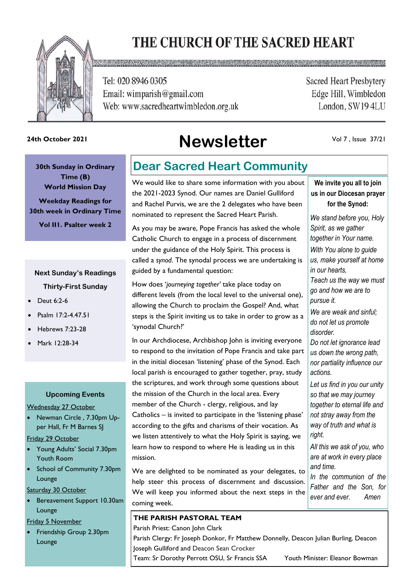# THE CHURCH OF THE SACRED HEART



Tel: 020 8946 0305 Email: wimparish@gmail.com Web: www.sacredheartwimbledon.org.uk

**Sacred Heart Presbytery** Edge Hill, Wimbledon London, SW194LU

24th October 2021<br> **Newsletter** 

Vol 7 , Issue 37/21

**30th Sunday in Ordinary Time (B) World Mission Day Weekday Readings for 30th week in Ordinary Time Vol II1. Psalter week 2**

### **Next Sunday's Readings Thirty-First Sunday**

- Deut 6:2-6
- Psalm 17:2-4.47.51
- Hebrews 7:23-28
- Mark 12:28-34

### **Upcoming Events**

#### Wednesday 27 October

• Newman Circle , 7.30pm Upper Hall, Fr M Barnes SJ

### Friday 29 October

- Young Adults' Social 7.30pm Youth Room
- School of Community 7.30pm Lounge

Saturday 30 October

• Bereavement Support 10.30am Lounge

### Friday 5 November

• Friendship Group 2.30pm Lounge

## **Dear Sacred Heart Community**

We would like to share some information with you about the 2021-2023 Synod. Our names are Daniel Gulliford and Rachel Purvis, we are the 2 delegates who have been nominated to represent the Sacred Heart Parish.

As you may be aware, Pope Francis has asked the whole Catholic Church to engage in a process of discernment under the guidance of the Holy Spirit. This process is called a *synod*. The synodal process we are undertaking is guided by a fundamental question:

How does '*journeying together'* take place today on different levels (from the local level to the universal one), allowing the Church to proclaim the Gospel? And, what steps is the Spirit inviting us to take in order to grow as a 'synodal Church?'

In our Archdiocese, Archbishop John is inviting everyone to respond to the invitation of Pope Francis and take part in the initial diocesan 'listening' phase of the Synod. Each local parish is encouraged to gather together, pray, study the scriptures, and work through some questions about the mission of the Church in the local area. Every member of the Church - clergy, religious, and lay Catholics – is invited to participate in the 'listening phase' according to the gifts and charisms of their vocation. As we listen attentively to what the Holy Spirit is saying, we learn how to respond to where He is leading us in this mission.

We are delighted to be nominated as your delegates, to help steer this process of discernment and discussion. We will keep you informed about the next steps in the coming week.

### **THE PARISH PASTORAL TEAM**

Parish Priest: Canon John Clark

Parish Clergy: Fr Joseph Donkor, Fr Matthew Donnelly, Deacon Julian Burling, Deacon Joseph Gulliford and Deacon Sean Crocker Team: Sr Dorothy Perrott OSU, Sr Francis SSA Youth Minister: Eleanor Bowman

**We invite you all to join us in our Diocesan prayer for the Synod:**

*We stand before you, Holy Spirit, as we gather together in Your name. With You alone to guide us, make yourself at home in our hearts, Teach us the way we must go and how we are to pursue it. We are weak and sinful; do not let us promote disorder. Do not let ignorance lead us down the wrong path, nor partiality influence our actions. Let us find in you our unity so that we may journey* 

*together to eternal life and not stray away from the way of truth and what is right.*

*All this we ask of you, who are at work in every place and time.*

*In the communion of the Father and the Son, for ever and ever. Amen*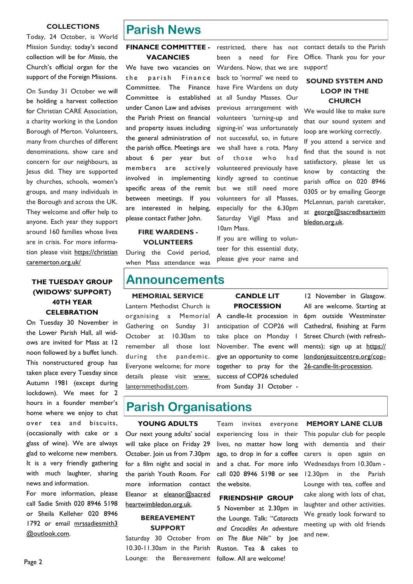### **COLLECTIONS**

Today, 24 October, is World Mission Sunday; today's second collection will be for *Missio*, the Church's official organ for the support of the Foreign Missions.

On Sunday 31 October we will be holding a harvest collection for Christian CARE Association, a charity working in the London Borough of Merton. Volunteers, many from churches of different denominations, show care and concern for our neighbours, as Jesus did. They are supported by churches, schools, women's groups, and many individuals in the Borough and across the UK. They welcome and offer help to anyone. Each year they support around 160 families whose lives are in crisis. For more information please visit [https://christian](https://christiancaremerton.org.uk/)  [caremerton.org.uk/](https://christiancaremerton.org.uk/)

### **THE TUESDAY GROUP (WIDOWS' SUPPORT) 40TH YEAR CELEBRATION**

On Tuesday 30 November in the Lower Parish Hall, all widows are invited for Mass at 12 noon followed by a buffet lunch. This nonstructured group has taken place every Tuesday since Autumn 1981 (except during lockdown). We meet for 2 hours in a founder member's home where we enjoy to chat over tea and biscuits, (occasionally with cake or a glass of wine). We are always glad to welcome new members. It is a very friendly gathering with much laughter, sharing news and information.

For more information, please call Sadie Smith 020 8946 5198 or Sheila Kelleher 020 8946 1792 or email mrssadiesmith3 @outlook.com.

### **Parish News**

### **FINANCE COMMITTEE - VACANCIES**

We have two vacancies on the parish Finance Committee. The Finance Committee is established under Canon Law and advises the Parish Priest on financial and property issues including the general administration of the parish office. Meetings are about 6 per year but members are actively involved in implementing specific areas of the remit between meetings. If you are interested in helping, please contact Father John.

### **FIRE WARDENS - VOLUNTEERS**

During the Covid period, when Mass attendance was

### **Announcements**

### **MEMORIAL SERVICE**

Lantern Methodist Church is organising a Memorial Gathering on Sunday 31 October at 10.30am to remember all those lost during the pandemic. Everyone welcome; for more details please visit www. lanternmethodist.com.

### **CANDLE LIT PROCESSION**

If you are willing to volunteer for this essential duty, please give your name and

10am Mass.

restricted, there has not been a need for Fire Wardens. Now, that we are back to 'normal' we need to have Fire Wardens on duty at all Sunday Masses. Our previous arrangement with volunteers 'turning-up and signing-in' was unfortunately not successful, so, in future we shall have a rota. Many of those who had volunteered previously have kindly agreed to continue but we still need more volunteers for all Masses, especially for the 6.30pm Saturday Vigil Mass and

A candle-lit procession in anticipation of COP26 will take place on Monday 1 November. The event will give an opportunity to come together to pray for the success of COP26 scheduled from Sunday 31 October -

contact details to the Parish Office. Thank you for your support!

### **SOUND SYSTEM AND LOOP IN THE CHURCH**

We would like to make sure that our sound system and loop are working correctly. If you attend a service and find that the sound is not satisfactory, please let us know by contacting the parish office on 020 8946 0305 or by emailing George McLennan, parish caretaker, at geo[rge@sacredheartwim](mailto:george@sacredheartwimbledon.org.uk)  [bledon.org.uk.](mailto:george@sacredheartwimbledon.org.uk)

12 November in Glasgow. All are welcome. Starting at 6pm outside Westminster Cathedral, finishing at Farm Street Church (with refreshments); sign up at https:// londonjesuitcentre.org/cop-26-candle-lit-procession.

### **Parish Organisations**

#### **YOUNG ADULTS**

Our next young adults' social will take place on Friday 29 October. Join us from 7.30pm for a film night and social in the parish Youth Room. For more information contact Eleanor at [eleanor@sacred](mailto:eleanor@sacredheartwimbledon.org.uk)  [heartwimbledon.org.uk](mailto:eleanor@sacredheartwimbledon.org.uk).

#### **BEREAVEMENT SUPPORT**

Saturday 30 October from 10.30-11.30am in the Parish Lounge: the Bereavement

Team invites everyone experiencing loss in their lives, no matter how long ago, to drop in for a coffee and a chat. For more info call 020 8946 5198 or see the website.

#### **FRIENDSHIP GROUP**

5 November at 2.30pm in the Lounge. Talk: "*Cataracts and Crocodiles An adventure on The Blue Nile*" by Joe Ruston. Tea & cakes to follow. All are welcome!

#### **MEMORY LANE CLUB**

This popular club for people with dementia and their carers is open again on Wednesdays from 10.30am - 12.30pm in the Parish Lounge with tea, coffee and cake along with lots of chat, laughter and other activities. We greatly look forward to meeting up with old friends and new.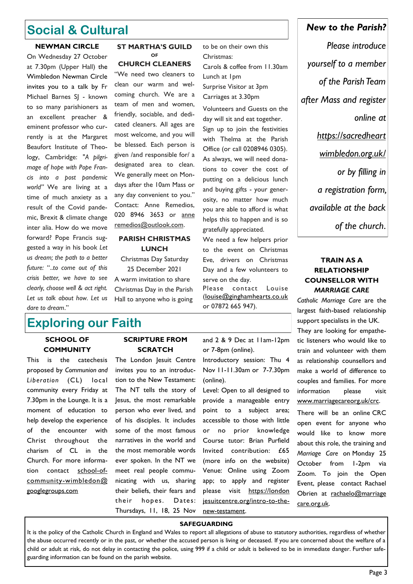### **Social & Cultural**

### **NEWMAN CIRCLE**

On Wednesday 27 October at 7.30pm (Upper Hall) the Wimbledon Newman Circle invites you to a talk by Fr Michael Barnes SJ - known to so many parishioners as an excellent preacher & eminent professor who currently is at the Margaret Beaufort Institute of Theology, Cambridge: "*A pilgrimage of hope with Pope Francis into a post pandemic world"* We are living at a time of much anxiety as a result of the Covid pandemic, Brexit & climate change inter alia. How do we move forward? Pope Francis suggested a way in his book *Let us dream; the path to a better future:* "..*to come out of this crisis better, we have to see clearly, choose well & act right. Let us talk about how. Let us dare to dream*."

### **ST MARTHA'S GUILD OF CHURCH CLEANERS**

"We need two cleaners to clean our warm and welcoming church. We are a team of men and women, friendly, sociable, and dedicated cleaners. All ages are most welcome, and you will be blessed. Each person is given /and responsible for/ a designated area to clean. We generally meet on Mondays after the 10am Mass or any day convenient to you." Contact: Anne Remedios, 020 8946 3653 or anne remedios@outlook.com.

### **PARISH CHRISTMAS LUNCH**

Christmas Day Saturday 25 December 2021

A warm invitation to share Christmas Day in the Parish Hall to anyone who is going to be on their own this Christmas: Carols & coffee from 11.30am Lunch at 1pm Surprise Visitor at 3pm Carriages at 3.30pm Volunteers and Guests on the day will sit and eat together. Sign up to join the festivities with Thelma at the Parish Office (or call 0208946 0305). As always, we will need donations to cover the cost of putting on a delicious lunch and buying gifts - your generosity, no matter how much you are able to afford is what helps this to happen and is so gratefully appreciated.

We need a few helpers prior to the event on Christmas Eve, drivers on Christmas Day and a few volunteers to serve on the day.

Please contact Louise ([louise@ginghamhearts.co.uk](mailto:louise@ginghamhearts.co.uk) or 07872 665 947).

### **SCHOOL OF COMMUNITY**

**Exploring our Faith**

This is the catechesis proposed by *Communion and Liberation* (CL) local community every Friday at 7.30pm in the Lounge. It is a moment of education to help develop the experience of the encounter with Christ throughout the charism of CL in the Church. For more information contact [school-of](mailto:school-of-community-wimbledon@googlegroups.com)[community-wimbledon@](mailto:school-of-community-wimbledon@googlegroups.com)  [googlegroups.com](mailto:school-of-community-wimbledon@googlegroups.com)

### **SCRIPTURE FROM SCRATCH**

The London Jesuit Centre invites you to an introduction to the New Testament: The NT tells the story of Jesus, the most remarkable person who ever lived, and of his disciples. It includes some of the most famous narratives in the world and the most memorable words ever spoken. In the NT we meet real people communicating with us, sharing their beliefs, their fears and their hopes. Dates: Thursdays, 11, 18, 25 Nov

and 2 & 9 Dec at 11am-12pm or 7-8pm (online).

Introductory session: Thu 4 Nov 11-11.30am or 7-7.30pm (online).

Level: Open to all designed to provide a manageable entry point to a subject area; accessible to those with little or no prior knowledge Course tutor: Brian Purfield Invited contribution: £65 ([more info](https://corn-pug-ems8.squarespace.com/invited-contribution) on the website) Venue: Online using Zoom app; to apply and register please visit [https://london](https://londonjesuitcentre.org/intro-to-the-new-testament)  [jesuitcentre.org/intro-to-the](https://londonjesuitcentre.org/intro-to-the-new-testament)[new-testament.](https://londonjesuitcentre.org/intro-to-the-new-testament)

# *Please introduce yourself to a member of the Parish Team after Mass and register online at https://sacredheart wimbledon.org.uk/ or by filling in a registration form, available at the back of the church*.

*New to the Parish?* 

### **TRAIN AS A RELATIONSHIP COUNSELLOR WITH** *MARRIAGE CARE*

*Catholic Marriage Care* are the largest faith-based relationship support specialists in the UK. They are looking for empathetic listeners who would like to train and volunteer with them as relationship counsellors and make a world of difference to couples and families. For more information please visit www.marriagecare[org.uk/crc.](http://www.marriagecare.org.uk/crc)

There will be an online CRC open event for anyone who would like to know more about this role, the training and *Marriage Care* on Monday 25 October from 1-2pm via Zoom. To join the Open Event, please contact Rachael Obrien at rachaelo@marriage [care.org.uk.](mailto:rachaelo@marriagecare.org.uk)

### **SAFEGUARDING**

It is the policy of the Catholic Church in England and Wales to report all allegations of abuse to statutory authorities, regardless of whether the abuse occurred recently or in the past, or whether the accused person is living or deceased. If you are concerned about the welfare of a child or adult at risk, do not delay in contacting the police, using 999 if a child or adult is believed to be in immediate danger. Further safeguarding information can be found on the parish website.